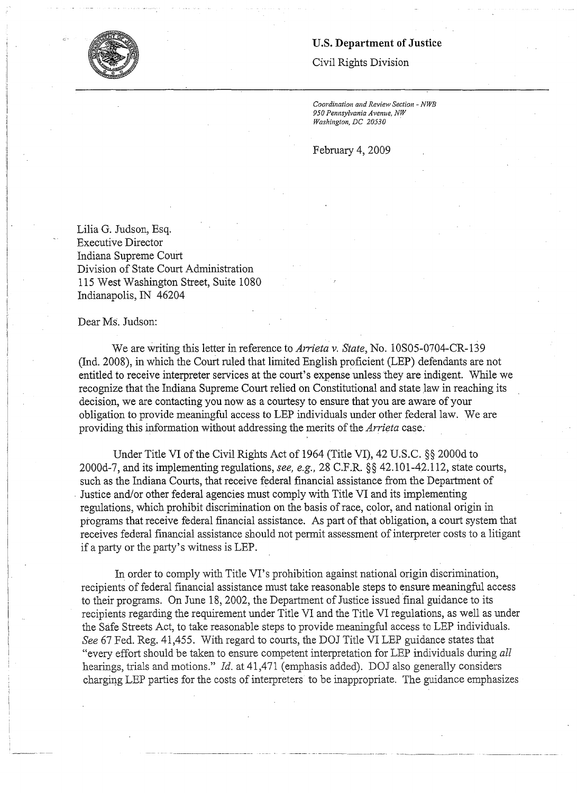## **U.S. Department of Justice**

Civil Rights Division

*Coordination and Review Section* - *NWB 950 Pennsylvania Avenue, NW Washington, DC 20530* ·

February 4, 2009

Lilia G. Judson, Esq. Executive Director Indiana Supreme Court Division of State Court Administration 115 West Washington Street, Suite 1080 Indianapolis, IN 46204

Dear Ms. Judson:

We are writing this letter in reference to *Arrieta v. State,* No. l0SOS-0704-CR-139 (Ind. 2008), in which the Court ruled that limited English proficient (LEP) defendants are not entitled to receive interpreter services at the court's expense unless they are indigent. While we recognize that the Indiana Supreme Court relied on Constitutional and state Jaw in reaching its decision, we are contacting you now as a courtesy to ensure that you are aware of your obligation to provide meaningful access to LEP individuals under other federal law. We are providing this information without addressing the merits of the *Arrieta* case.

Under Title VI of the Civil Rights Act of 1964 (Title VI), 42 U.S.C. §§ 2000d to 2000d-7, and its implementing regulations, see, e.g., 28 C.F.R. §§ 42.101-42.112, state courts, such as the Indiana Courts, that receive federal financial assistance from the Department of . Justice and/or other federal agencies must comply with Title VI and its implementing regulations, which prohibit discrimination on the basis of race, color, and national origin in programs that receive federal financial assistance. As part of that obligation, a court system that receives federal financial assistance should not permit assessment of interpreter costs to a litigant if a party or the party's witness is LEP.

In order to comply with Title VI's prohibition against national origin discrimination, recipients of federal financial assistance must take reasonable steps to ensure meaningful access to their programs. On June 18, 2002, the Department of Justice issued final guidance to its recipients regarding the requirement under Title VI and the Title VI regulations, as well as under the Safe Streets Act, to take reasonable steps to provide meaningful access to LEP individuals. *See* 67 Fed. Reg. 41,455. With regard to courts, the DOJ Title VI LEP guidance states that "every effort should be taken to ensure competent interpretation for LEP individuals during *all*  hearings, trials and motions." *Id.* at 41,471 (emphasis added). DOJ also generally considers charging LEP parties for the costs of interpreters to be inappropriate. The guidance emphasizes

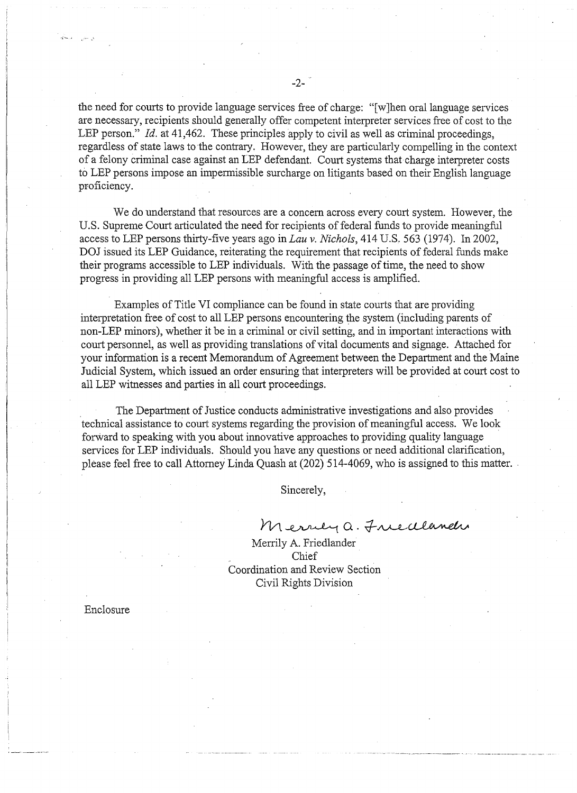the need for courts to provide language services free of charge: "[w ]hen oral language services are necessary, recipients should generally offer competent interpreter services free of cost to the LEP person." *Id.* at 41,462. These principles apply to civil as well as criminal proceedings, regardless of state laws to the contrary. However, they are particularly compelling in the context of a felony criminal case against an LEP defendant. Court systems that charge interpreter costs to LEP persons impose an impermissible surcharge on litigants based on their English language proficiency.

We do understand that resources are a concern across every court system. However, the U.S. Supreme Court articulated the need for recipients of federal funds to provide meaningful access to LEP persons thirty-five years ago in *Lau v. Nichols,* 414 U.S. 563 (1974). In 2002, DOJ issued its LEP Guidance, reiterating the requirement that recipients of federal funds make their programs accessible to LEP individuals. With the passage of time, the need to show progress in providing all LEP persons with meaningful access is amplified.

Examples of Title VI compliance can be found in state courts that are providing interpretation free of cost to all LEP persons encountering the system (including parents of non-LEP minors), whether it be in a criminal or civil setting, and in important interactions with court personnel, as well as providing translations of vital documents and signage. Attached for your information is a recent Memorandum of Agreement between the Department and the Maine Judicial System, which issued an order ensuring that interpreters will be provided at court cost to all LEP witnesses and parties in all court proceedings.

The Department of Justice conducts administrative investigations and also provides technical assistance to court systems regarding the provision of meaningful access. We look forward to speaking with you about innovative approaches to providing quality language services for LEP individuals. Should you have any questions or need additional clarification, please feel free to call Attorney Linda Quash at (202) 514-4069, who is assigned to this matter ..

Sincerely,

 $M$ errey a. Friedlandi

Merrily A. Friedlander Chief Coordination and Review Section Civil Rights Division

Enclosure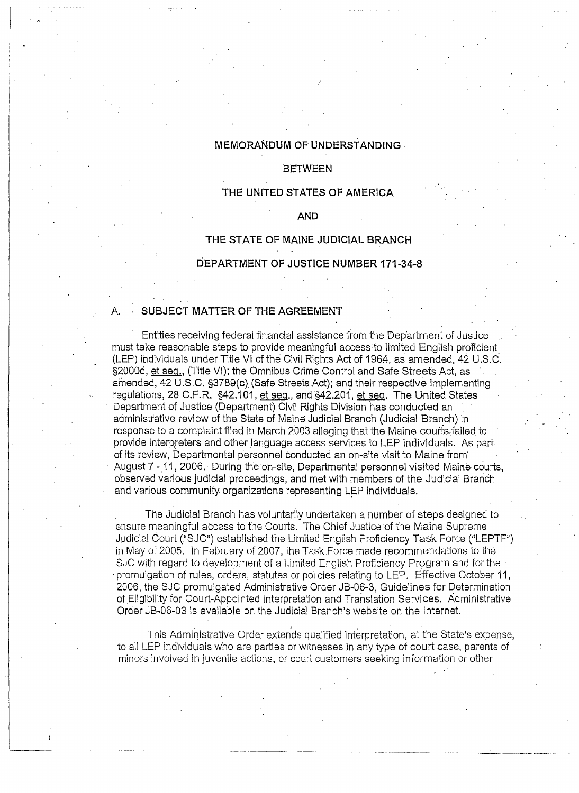## **MEMORANDUM OF UNDERSTANDING** .

#### **BETWEEN**

#### **THE UNITED STATES OF AMERICA**

#### **AND**

# **THE STATE OF MAINE JUDICIAL BRANCH DEPARTMENT OF JUSTICE NUMBER 171-34-8**

## SUBJECT MATTER OF THE AGREEMENT

Entities receiving federal financial assistance from the Department of Justice must take reasonable steps to provide meaningful access to limited English proficient. (LEP) individuals under Title VI of the Civil Rights Act of 1964, as amended, 42 U.S.C. §2000d, et seq., (Title VI); the Omnibus Crime Control and Safe Streets Act, as amended, 42 U.S.C. §3789(c) (Safe Streets Act); and their respective implementing regulations, 28 C.F.R. §42.101, et seq., and §42.201, et seq. The United States Department of Justice (Department) Civil Rights Division has conducted an administrative review of the State of Maine Judicial Branch (Judicial Branch) in response to a complaint filed in March 2003 alleging that the Maine courts failed to provide interpreters and other language access services to LEP individuals. As partof its review, Departmental personnel conducted an on-site visit to Maine from· August 7 - 11, 2006. During the on-site, Departmental personnel visited Maine courts, observed various judicial proceedings, and met with members of the Judicial Branch . and various community organizations representing LEP individuals.

The Judicial Branch has voluntarily undertaken a number of steps designed to ensure meaningful access to the Courts. The Chief Justice of the Maine Supreme Judicial Court ("SJC") established the Limited English Proficiency Task Force ("LEPTF") in May of 2005. ln February of 2007, the Task Force made recommendations to the SJC with regard to development of a Limited English Proficiency Program and for the ·promulgation of rules, orders, statutes or policies relating to LEP. Effective October 11, 2006, the SJC promulgated Administrative Order JB-06-3, Guidelines for Determination of Eligibility for Court-Appointed Interpretation and Translation Services. Administrative Order JB-06-03 is available on the Judicial Branch's website on the internet.

This Administrative Order extends qualified interpretation, at the State's expense, to all LEP individuals who are parties or witnesses in any type of court case, parents of minors involved in juvenile actions, or court customers seeking information or other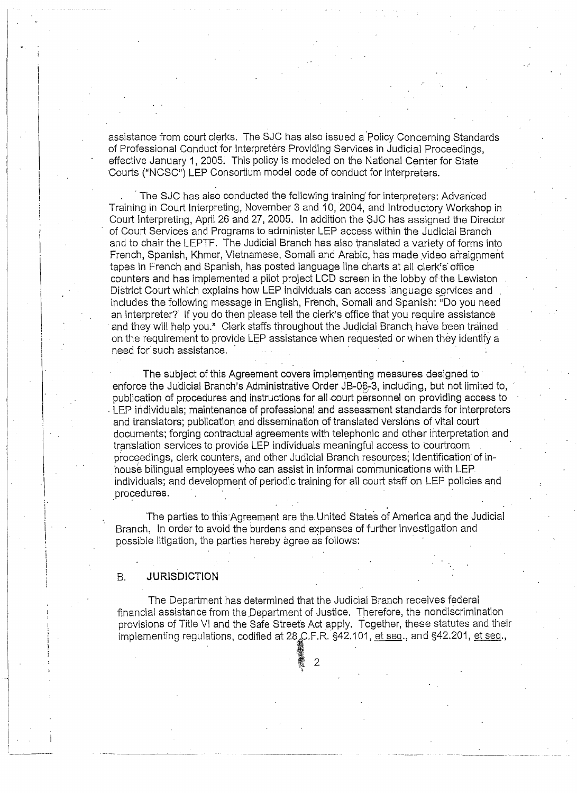assistance from court clerks. The SJC has also issued a Policy Concerning Standards of Professional Conduct' for Interpreters Providing Services in Judicial Proceedings, effective January 1, 2005. This policy is modeled on the National Center for State ·courts ("NCSC") LEP Consortium rnodel code of conduct for interpreters.

The SJC has also conducted the following training for interpreters: Advanced Training in Court Interpreting, November 3 and 10, 2004, and Introductory Workshop in Court lnterpreting, April 26 and 27, 2005. In addition the \$JC has assigned the Director of Court Services and Programs to administer LEP access within the Judicial Branch and to chair the LEPTF. The Judicial Branch has also translated a variety of forms into French, Spanish, Khmer, Vietnamese, Somali and Arabic, has made video arraignment tapes in French and Spanish, has posted language line charts at all clerk's· office counters and has implemented a pilot project LCD screen in the lobby of the Lewiston District Court which explains how LEP individuals can access language services and includes the following message in English, French, Somali and Spanish: "Do you need an interpreter? If you do then please tell the clerk's office that you require assistance and they will help you." Clerk staffs throughout the Judicial Branch have been trained on the requirement to provide LEP assistance when requested or when they identify a need for such assistance.

The subject of this Agreement covers implementing measures designed to enforce the Judicial Branch's Administrative Order JB-06-3, including, but not limited to, publication of procedures and instructions for all court personnel on providing access to . LEP individuals; maintenance of professional and assessment standards for interpreters and translators; publication and dissemination of translated Versions of vital court documents; forging contractual agreements with telephonic and other interpretation and translation services to provide LEP individuals meaningful access to courtroom proceedings, clerk counters, and other Judicial Branch resources; identification of inhouse bilingual employees who can assist in informal communications with LEP individuals; and development of periodic training for all court staff on LEP policies and procedures.

The parties to this·Agreement are the. United States of America and the Judicial Branch, In order to avoid the burdens and expenses of further investigation and possible litigation, the parties hereby agree as follows:

## B. **JURISDICTION**

The Department has determined that the Judicial Branch receives federal financial assistance from the Department of Justice. Therefore, the nondiscrimination provisions of Title VI and the Safe Streets Act apply. Together, these statutes and their implementing regulations, codified at 28 C.F.R. §42.101, et seq., and §42.201, et seq.,

繫 2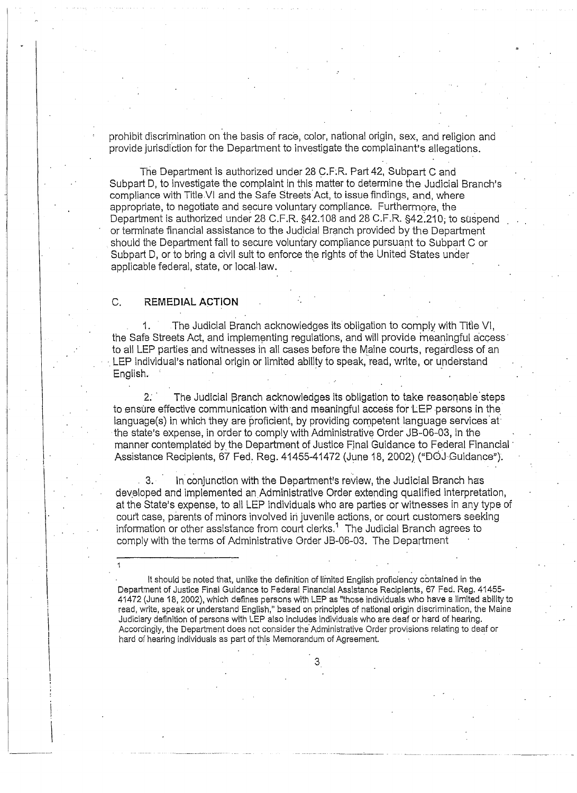prohibit discrimination on the basis of race, color, national origin, sex, and religion and provide jurisdiction for the Department to investigate the complainant's allegations.

The Department is authorized under 28 C.F.R. Part 42, Subpart C and Subpart D, to investigate the complaint in this matter to determine the Judicial Branch's compliance with Title VI and the Safe Streets Act, to issue findings, and, where appropriate, to negotiate and secure voluntary compliance. Furthermore, the Department is authorized under 28 C.F.R. §42.108 and 28 C.F.R. §42.210; to suspend or terminate financial assistance to the Judicial Branch provided by the Department should the Department fail to secure voluntary compliance pursuant to Subpart C or Subpart D, or to bring a civil suit to enforce the rights of the United States under applicable federal, state, or local-law.

#### C. **REMEDIAL ACTION**

 $\frac{1}{3}$ 

i. j .

1. The Judicial Branch acknowledges its obligation to comply with Title VI, the Safe Streets Act, and implementing regulations, and will provide meaningful access to all LEP parties and witnesses in all cases before the Maine courts, regardless of an  $\cdot$  LEP individual's national origin or limited ability to speak, read, write, or understand English.

2. The Judicial Branch acknowledges its obligation to take reasonable steps to ensure effective communication with and meaningful access for LEP persons in the language(s) in which they are proficient, by providing competent language services  $at$ the state's expense, in order to comply with Administrative Order JB-06-03, in the manner contemplated by the Department of Justice Final Guidance to Federal Financial · Assistance Recipients, 67 Fed. Reg. 41455-41472 (June 18, 2002) ("DOJ-Guidance").

3. In conjunction with the Department's review, the Judicial Branch has developed and implemented an Administrative Order extending qualified interpretation, at the State's expense, to all LEP individuals who are parties or witnesses in any type of court case, parents of minors involved in juvenile actions, or court customers seeking information or other assistance from court clerks.<sup>1</sup> The Judicial Branch agrees to comply with the terms of Administrative Order JB-06-03. The Department

It should be noted that, unlike the definition of limited English proficiency contained in the Department of Justice Final Guidance to Federal Financial Assistance Recipients, 67 Fed. Reg. 41455- 41472 (June 18, 2002), which defines persons with LEP as "those individuals who have a limited ability to<br>read, write, speak or understand English," based on principles of national origin discrimination, the Maine Judiciary definition of persons with LEP also includes individuals who are deaf or hard of hearing.<br>Accordingly, the Department does not consider the Administrative Order provisions relating to deaf or<br>hard of hearing indi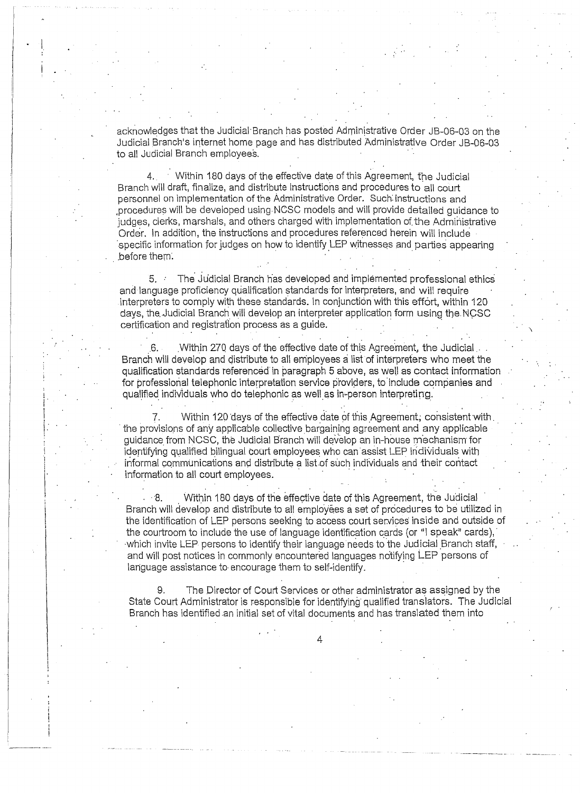acknowledges that the Judicial Branch has posted Administrative Order JB-06-03 on the Judicial Branch's iriternet home page and has distributed Administrative Order JB-06-03 to all Judicial Branch employees.

4. Within 180 days of the effective date of this Agreement, the Judicial Branch will draft, finalize, and distribute instructions and procedures to all court personnel on implementation of the Administrative Order. Such: instructions and ,procedures will be developed using-NCSC models and will provide detailed guidance to judges, clerks, marshals, and others charged with implementation of the Administrative Order. In addition, the instructions and procedures referenced herein will include specific information for judges on how to identify LEP witnesses and parties appearing before them.

5. The Judicial Branch has developed and implemented professional ethics and language proficiency qualification standards for interpreters, and will require interpreters to comply with these standards. In conjunction with this effort, within 120 days, the Judicial Branch will develop an interpreter application form using the NCSC certification and registration process as a quide.

.6. \_Within 270 days of the effective date of this Agreement, the Judicial . Branch will develop and distribute to all employees a list of interpreters who meet the qualification standards referenced in paragraph 5 above, as well as contact information for professional telephonic interpretation service providers, to include companies and qualified individuals who do telephonic as well as in-person interpreting.

7. Within 120 days of the effective date of this Agreement; consistent with. the provisions of any applicable collective bargaining agreement and any applicable guidance from NCSC, the Judicial Branch will develop an in-house mechanism for identifying qualified bilingual court employees who can assist LEP individuals with informal communications and distribute a list of such individuals and their contact information to all court employees.

8. Within 180 days of the effective date of this Agreement, the Judicial Branch will develop and distribute to all employees a set of procedures to be utilized in the identification of LEP persons seeking to access court services inside and outside of the courtroom to include the use of language identification cards (or "I speak" cards), -which invite LEP persons to identify their language needs to the Judicial Branch staff, and will post notices in commonly encountered languages notifying LEP persons of language assistance to encourage them to self-identify.

9. The Director of Court Services or other administrator as assigned by the State Court Administrator is responsible for identifying qualified translators. The Judicial Branch has identified .an initial set of vital documents and has translated them into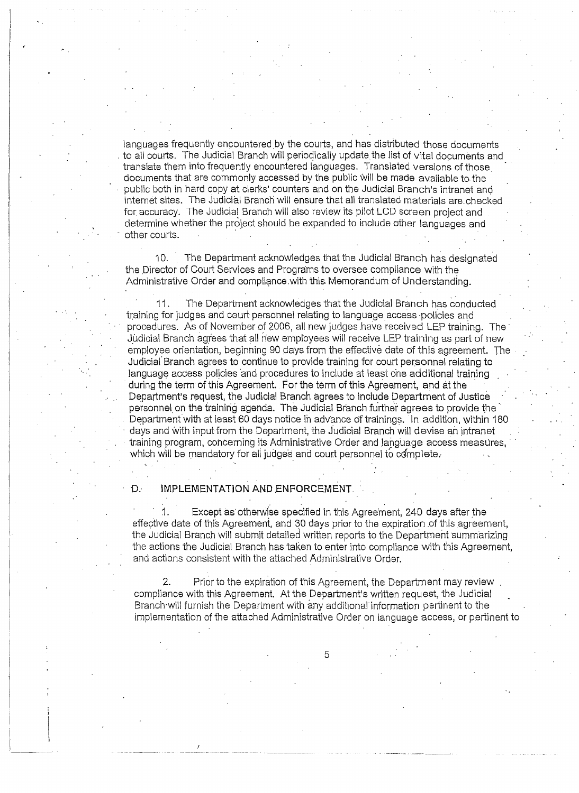languages frequently encountered by the courts, and has distributed those documents . to all courts. The Judicial Branch will periodically update the list of vital documents and translate them into frequently encountered languages. Translated versions of those documents that are commonly accessed by the public will be made available to.the public both in hard copy at clerks' counters and on the Judicial Branch's intranet and internet sites. The Judicial Branch will ensure that all translated materials are.checked for accuracy. The Judicial Branch will also review its pilot LCD screen project and determine whether the project should be expanded to include other languages and other courts. ·

10. The Department acknowledges that the Judicial Branch has designated the Director of Court Services and Programs to oversee compliance with the Administrative Order and compliance.with this. Memorandum of Understanding.

11. The Department acknowledges that the Judicial Branch has conducted training for judges and court personnel relating to language access ·policies and procedures. As of November of 2006, all new judges have received LEP training. The Judicial Branch agrees that all new employees will receive LEP training as part of new employee orientation, beginning 90 days from the effective date of this agreement. The Judicial Branch agrees to continue to provide training for court personnel relating to language access policies and procedures to include at least one additional training during the term of this Agreement. For the term of this Agreement, and at the Department's request, the Judicial Branch agrees to include Department of Justice personnel on the training agenda. The Judicial Branch further agrees to provide the Department with at least 60 days notice in advance of trainings. In addition, within 180 days and with input from the Department, the Judicial Branch will devise an intranet training program, concerning its Administrative Order and language access measures, which will be mandatory for all judges and court personnel to complete.

D: **IMPLEMENTATION AND ENFORCEMENT** 

Except as otherwise specified in this Agreement, 240 days after the effective date of this Agreement, and 30 days prior to the expiration of this agreement, the Judicial Branch will submit detailed written reports to the Department summarizing the actions the Judicial Branch has taken to enter into compliance with this Agreement, and actions consistent with the attached Administrative Order.

2. Prior to the expiration of this Agreement, the Department may review compliance with this Agreement. At the Department's written request, the Judicial Branch will furnish the Department with any additional information pertinent to the implementation of the attached Administrative 0Fder on language access, or pertinent to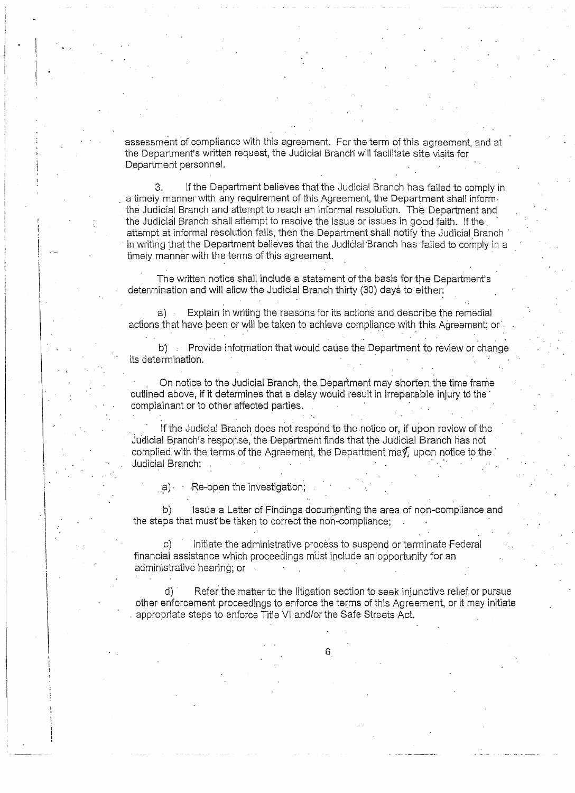assessment of compliance with this agreement. For the term of this agreement, and at the Department's written request, the Judicial Branch will facilitate site visits for Department personnel.

3. If the Department believes that the Judicial Branch has failed to comply in a timely manner with any requirement of this Agreement, the Department shall inform. the Judicial Branch and attempt to reach an informal resolution. The Department and the Judicial Branch shall attempt to resolve the issue or issues in good faith. If the . attempt at informal resolution fails, then the Department shall notify the Judicial Branch · in writing that the Department believes that the Judicial Branch has failed to comply in a timely manner with the terms of this agreement.

The written notice shall include a statement of the basis for the Department's determination and will allow the Judicial Branch thirty (30) days to either:

a) Explain in writing the reasons for its actions and describe the remedial actions that have been or will be taken to achieve compliance with this Agreement; or:

b)  $\therefore$  Provide information that would cause the Department to review or change its determination.

. . .

.  $\;$  On notice to the Judicial Branch, the Department may shorten the time frame outlined above, if it determines that a delay would result in irreparable injury to the complainant or to other affected parties.

If the Judicial Branch does not respond to the .notice or, if upon review of the Judicial Branch's response, the Department finds that the Judicial Branch has not complied with the terms of the Agreement, the Department  $\text{max}$ , upon notice to the Judicial Branch:

 $a)$   $\cdots$  Re-open the investigation;

I

. . b) Issue a Letter of Findings documenting the area of non-compliance and the steps that must be taken to correct the non-compliance;

Initiate the administrative process to suspend or terminate Federal financial assistance which proceedings must include an opportunity for an administrative hearing; or

d) Refer the matter to the litigation section to seek injunctive rellef or pursue other enforcement proceedings to enforce the terms of this Agreement, or it may initiate . appropriate steps to enforce Title VI and/or the Safe Streets Act.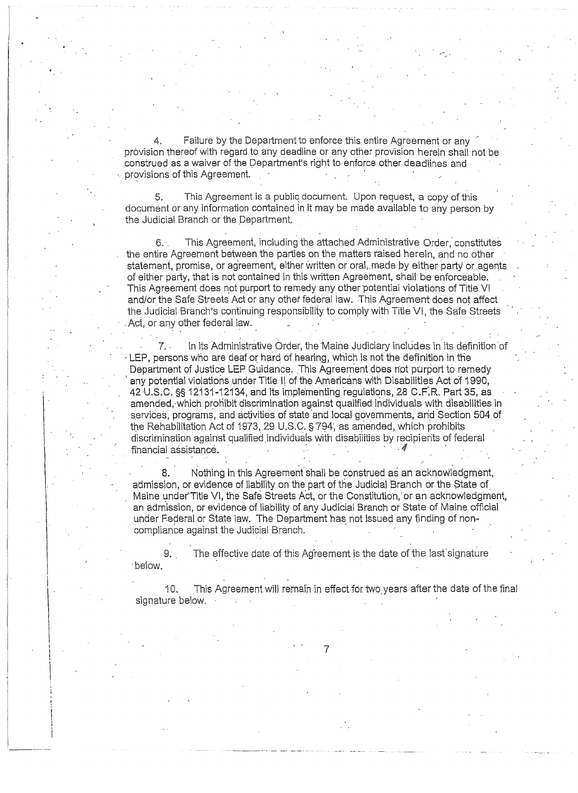4. Failure by the Department to enforce this entire Agreement or any provision thereof with regard to any deadline or any other provision herein shall not be construed as a waiver of the Department's right to enforce other deadlines and provisions of this Agreement.

5. This Agreement is a public document. Upon request, a copy of this document or any information contained in it may be made available to any person by the Judicial Branch or the Department.

6. . This Agreement, including the attached Administrative Order," constitutes the entire Agreement between the parties on the matters raised herein, and no other statement, promise, or agreement. either written or oral,.made by either party or agents of either party, that is not contained in this written Agreement, shall be enforceable. This Agreement does not purport to remedy any other potential violations of Title VI and/or the Safe Streets Act or any other federal law. This Agreement does not affect the Judicial Branch's continuing responsibility to comply with Title VI, the Safe Streets Act, or any other federal law.

In its Administrative Order, the Maine Judiciary includes in its definition of LEP, persons who are deaf or hard of hearing, which is not the definition in the Department of Justice LEP Guidance. This Agreement does not purport to remedy any potential violations under Title II of the Americans with Disabilities Act of 1990, 42 U.S.C. §§ 12131-12134, and its implementing regulations, 28 C.F.R. Part 35, as amended,·which prohibit discrimination against qualified individuals with disabilities in services, programs, and activities of state and local governments, and Section 504 of the Rehabilitation Act of 1973, 29 U.S.C. § 794, as amended, which prohibits discrimination against qualified individuals with disabilities by recipients of federal financial assistance.

Nothing in this Agreement shall be construed as an acknowledgment, admission, or evidence of liability on the part of the Judicial Branch or the State of\_ Maine under Title VI, the Safe Streets Act, or the Constitution, or an acknowledgment, an admission, or evidence of liability of any Judicial Branch or State of Maine official under Federal or State law. The Department has not issued any finding of noncompliance against the Judicial Branch.

9. The effective date of this Agreement is the date of the last signature ·below.

10. This Agreement will remain in effect for two\_years after the date of the final signature below.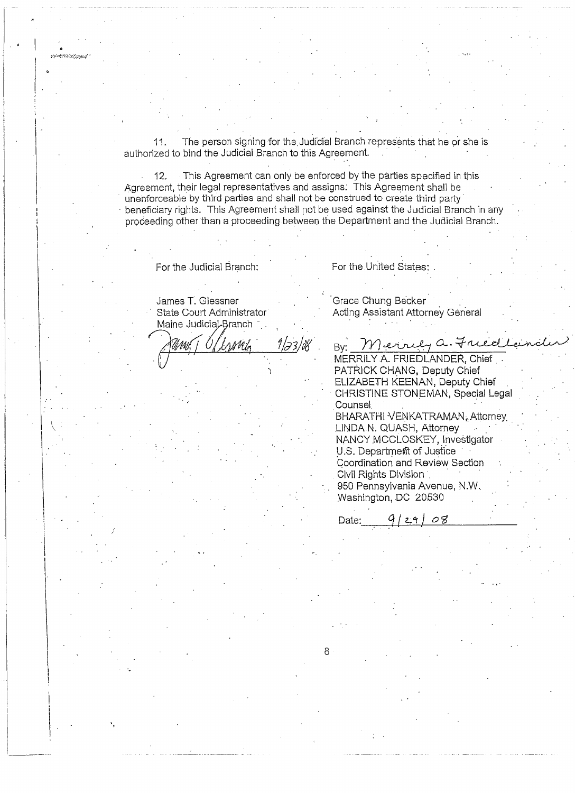11. The person signing for the Judicial Branch represents that he or she is authorized to bind the Judicial Branch to this Agreement.

12. This Agreement can only be enforced by the parties specified in this Agreement, their legal representatives and assigns: This Agreement shall be unenforceable by third parties and shall not be construed to create third party· beneficiary rights. This Agreement shall not be used against the Judicial Branch in any proceeding other than a proceeding between the Department and the Judicial Branch.

For the Judicial Branch:

## James T. Glessner State Court Administrator Maine Judicial-Branch

I i  $\left| \begin{array}{c} \cdot \end{array} \right|$ .

 $\mu$  is an  $\mathcal{O}(Q)$ 

l i  $\mathbf{I}$  $\vert$ I

I·

Grace Chung Becker . Acting Assistant Attorney General States:<br>Becker<br>11 Attorney General<br><u>Urly a. Frucellander</u><br>FRIEDLANDER, Chief

For the United States:

By: Merrily a. Friedl MERRILY A. FRIEDLANDER, Chief PATRICK CHANG, Deputy Chief ELIZABETH KEENAN, Deputy Chief . CHRISTINE STONEMAN, Special Legal Counsel. BHARATHI VENKATRAMAN, Attorney LINDA N. QUASH, Attorney NANCY MCCLOSKEY, Investigator U.S. Department of Justice Coordination and Review Section Civil Rights Division . 950 Pennsylvania Avenue, N.W.. Washington, DC 20530

Date: \_ \_\_,9-1-/\_2.;.\_"r-1-/*\_0\_'3\_\_\_\_\_*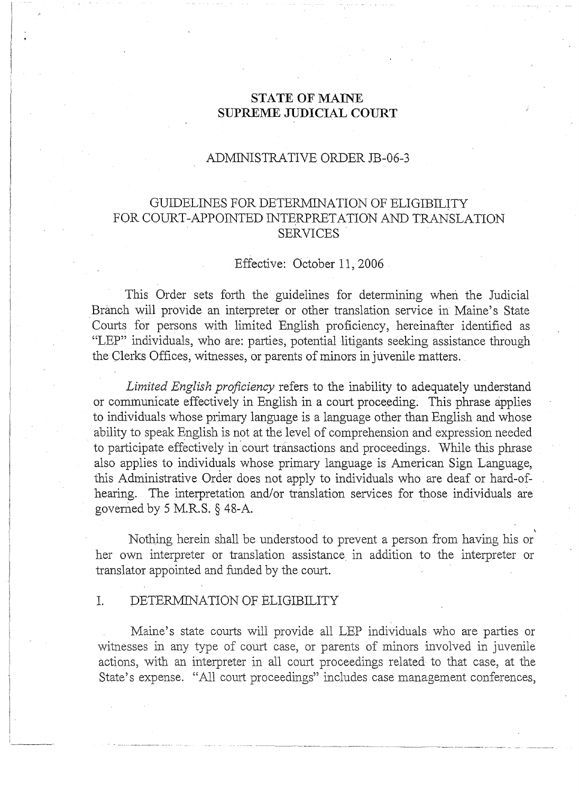## **STATE OF MAINE SUPREME JUDICIAL COURT**

## ADMINISTRATIVE ORDER JB-06-3

## GUIDELINES FOR DETERMINATION OF ELIGIBILITY FOR COURT-APPOINTED INTERPRETATION AND TRANSLATION SERVICES

## Effective: October 11, 2006

This Order sets forth the guidelines for determining when the Judicial Branch will provide an interpreter or other translation service in Maine's State Courts for persons with limited English proficiency, hereinafter identified as "LEP" individuals, who are: parties, potential litigants seeking assistance through· the Clerks Offices, witnesses, or parents of minors in juvenile matters.

*Limited English proficiency* refers to the inability to adequately understand or communicate effectively in English in a court proceeding. This phrase applies to individuals whose primary language is a language other than English and whose ability to speak English is not at the level of comprehension and expression needed to participate effectively in court transactions and proceedings. While this phrase also applies to individuals whose primary language is American Sign Language, this Administrative Order does not apply to individuals who are deaf or hard-ofhearing. The interpretation and/or translation services for those individuals are governed by 5 M.R.S.  $\S$  48-A.

' Nothing herein shall be understood to prevent a person from having his or her own interpreter or translation assistance in addition to the interpreter or translator appointed and funded by the court.

## I. DETERMINATION OF ELIGIBILITY

Maine's state courts will provide all LEP individuals who are parties or witnesses in any type of court case, or parents of minors involved in juvenile actions, with an interpreter in all court proceedings related to that case, at the State's expense. "All court proceedings" includes case management conferences,